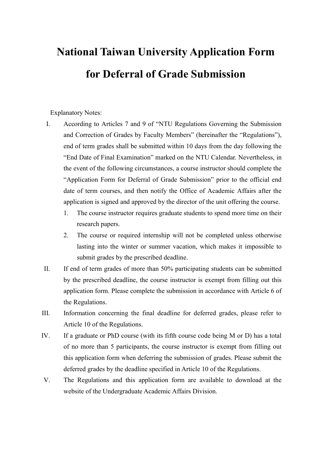## National Taiwan University Application Form for Deferral of Grade Submission

Explanatory Notes:

- I. According to Articles 7 and 9 of "NTU Regulations Governing the Submission and Correction of Grades by Faculty Members" (hereinafter the "Regulations"), end of term grades shall be submitted within 10 days from the day following the "End Date of Final Examination" marked on the NTU Calendar. Nevertheless, in the event of the following circumstances, a course instructor should complete the "Application Form for Deferral of Grade Submission" prior to the official end date of term courses, and then notify the Office of Academic Affairs after the application is signed and approved by the director of the unit offering the course.
	- 1. The course instructor requires graduate students to spend more time on their research papers.
	- 2. The course or required internship will not be completed unless otherwise lasting into the winter or summer vacation, which makes it impossible to submit grades by the prescribed deadline.
- II. If end of term grades of more than 50% participating students can be submitted by the prescribed deadline, the course instructor is exempt from filling out this application form. Please complete the submission in accordance with Article 6 of the Regulations.
- III. Information concerning the final deadline for deferred grades, please refer to Article 10 of the Regulations.
- IV. If a graduate or PhD course (with its fifth course code being M or D) has a total of no more than 5 participants, the course instructor is exempt from filling out this application form when deferring the submission of grades. Please submit the deferred grades by the deadline specified in Article 10 of the Regulations.
- V. The Regulations and this application form are available to download at the website of the Undergraduate Academic Affairs Division.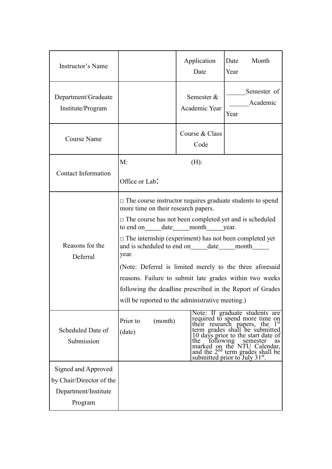| Instructor's Name                                                                  |                                                                                                                                                                                                                                                                                                                                                                                                                                                                                                                                                                                                               | Application<br>Date         | Date<br>Month<br>Year                                                                                                                                                                                                                                                                                                       |
|------------------------------------------------------------------------------------|---------------------------------------------------------------------------------------------------------------------------------------------------------------------------------------------------------------------------------------------------------------------------------------------------------------------------------------------------------------------------------------------------------------------------------------------------------------------------------------------------------------------------------------------------------------------------------------------------------------|-----------------------------|-----------------------------------------------------------------------------------------------------------------------------------------------------------------------------------------------------------------------------------------------------------------------------------------------------------------------------|
| Department/Graduate<br>Institute/Program                                           |                                                                                                                                                                                                                                                                                                                                                                                                                                                                                                                                                                                                               | Semester &<br>Academic Year | Semester of<br>Academic<br>Year                                                                                                                                                                                                                                                                                             |
| <b>Course Name</b>                                                                 |                                                                                                                                                                                                                                                                                                                                                                                                                                                                                                                                                                                                               | Course & Class<br>Code      |                                                                                                                                                                                                                                                                                                                             |
| <b>Contact Information</b>                                                         | M:                                                                                                                                                                                                                                                                                                                                                                                                                                                                                                                                                                                                            | $(H)$ :                     |                                                                                                                                                                                                                                                                                                                             |
|                                                                                    | Office or Lab:                                                                                                                                                                                                                                                                                                                                                                                                                                                                                                                                                                                                |                             |                                                                                                                                                                                                                                                                                                                             |
| Reasons for the<br>Deferral                                                        | $\Box$ The course instructor requires graduate students to spend<br>more time on their research papers.<br>$\Box$ The course has not been completed yet and is scheduled<br>to end on ______ date _____ month ______ year.<br>$\Box$ The internship (experiment) has not been completed yet<br>and is scheduled to end on _______ date ______ month ________<br>year.<br>(Note: Deferral is limited merely to the three aforesaid<br>reasons. Failure to submit late grades within two weeks<br>following the deadline prescribed in the Report of Grades<br>will be reported to the administrative meeting.) |                             |                                                                                                                                                                                                                                                                                                                             |
| Scheduled Date of<br>Submission                                                    | Prior to<br>(month)<br>(date)                                                                                                                                                                                                                                                                                                                                                                                                                                                                                                                                                                                 | following<br>the            | Note: If graduate students are<br>required to spend more time on<br>$1^{\rm st}$<br>their research papers, the<br>term grades shall be submitted<br>10 days prior to the start date of<br>semester<br>as<br>marked on the NTU Calendar,<br>and the 2 <sup>nd</sup> term grades shall be<br>submitted prior to July $31st$ . |
| Signed and Approved<br>by Chair/Director of the<br>Department/Institute<br>Program |                                                                                                                                                                                                                                                                                                                                                                                                                                                                                                                                                                                                               |                             |                                                                                                                                                                                                                                                                                                                             |